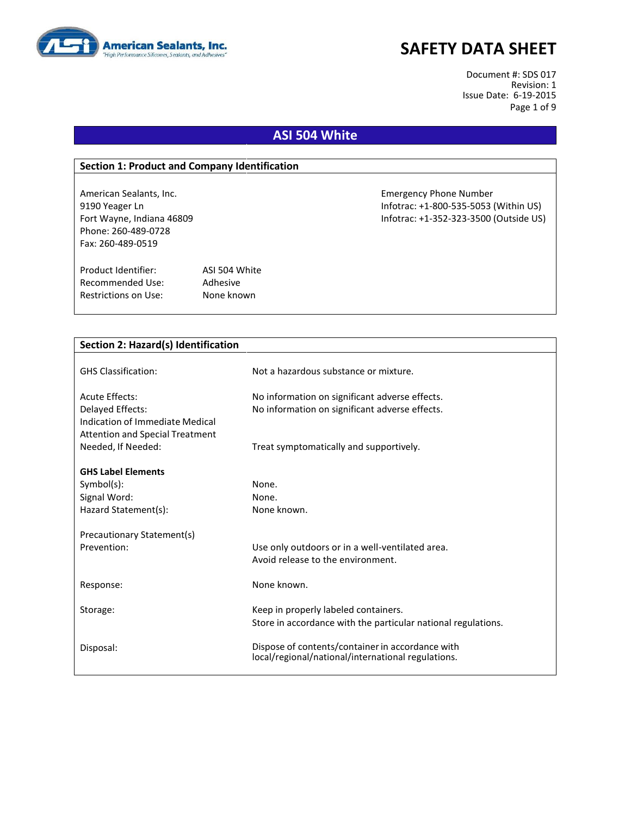

Document #: SDS 017 Revision: 1 Issue Date: 6-19-2015 Page 1 of 9

# **ASI 504 White**

### **Section 1: Product and Company Identification**

Phone: 260-489-0728 Fax: 260-489-0519

Product Identifier: ASI 504 White Recommended Use: Adhesive Restrictions on Use: None known

American Sealants, Inc. Emergency Phone Number 9190 Yeager Ln Infotrac: +1-800-535-5053 (Within US) Fort Wayne, Indiana 46809 Infotrac: +1-352-323-3500 (Outside US)

| Section 2: Hazard(s) Identification    |                                                               |
|----------------------------------------|---------------------------------------------------------------|
|                                        |                                                               |
| <b>GHS Classification:</b>             | Not a hazardous substance or mixture.                         |
|                                        |                                                               |
| Acute Effects:                         | No information on significant adverse effects.                |
| Delayed Effects:                       | No information on significant adverse effects.                |
| Indication of Immediate Medical        |                                                               |
| <b>Attention and Special Treatment</b> |                                                               |
| Needed, If Needed:                     | Treat symptomatically and supportively.                       |
|                                        |                                                               |
| <b>GHS Label Elements</b>              |                                                               |
| Symbol(s):                             | None.                                                         |
| Signal Word:                           | None.                                                         |
| Hazard Statement(s):                   | None known.                                                   |
|                                        |                                                               |
| Precautionary Statement(s)             |                                                               |
| Prevention:                            | Use only outdoors or in a well-ventilated area.               |
|                                        | Avoid release to the environment.                             |
| Response:                              | None known.                                                   |
|                                        |                                                               |
| Storage:                               | Keep in properly labeled containers.                          |
|                                        | Store in accordance with the particular national regulations. |
|                                        |                                                               |
| Disposal:                              | Dispose of contents/container in accordance with              |
|                                        | local/regional/national/international regulations.            |
|                                        |                                                               |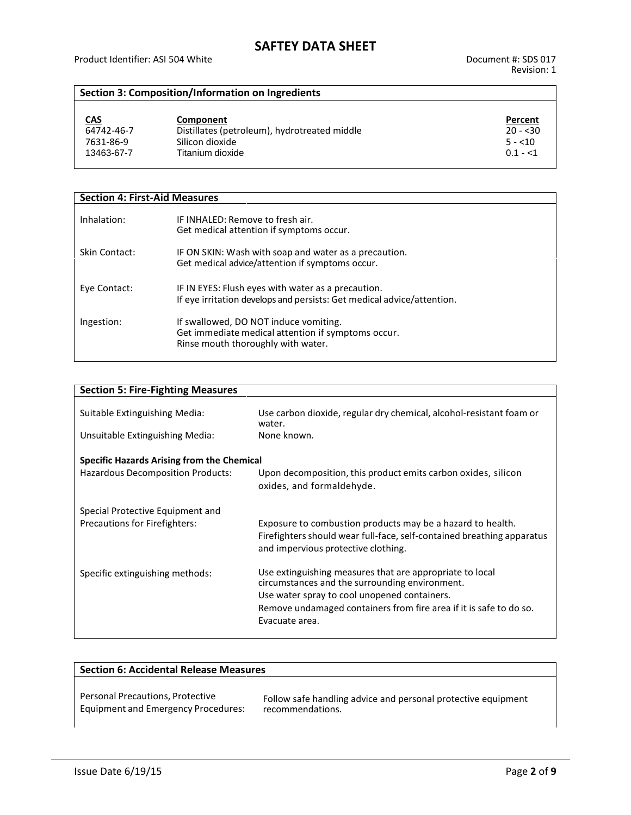## **Section 3: Composition/Information on Ingredients**

| <u>CAS</u><br>64742-46-7 | Component<br>Distillates (petroleum), hydrotreated middle | Percent<br>$20 - 530$ |
|--------------------------|-----------------------------------------------------------|-----------------------|
| 7631-86-9                | Silicon dioxide                                           | $5 - 10$              |
| 13463-67-7               | Titanium dioxide                                          | $0.1 - 1$             |

| <b>Section 4: First-Aid Measures</b> |                                                                                                                                   |  |
|--------------------------------------|-----------------------------------------------------------------------------------------------------------------------------------|--|
| Inhalation:                          | IF INHALED: Remove to fresh air.<br>Get medical attention if symptoms occur.                                                      |  |
| Skin Contact:                        | IF ON SKIN: Wash with soap and water as a precaution.<br>Get medical advice/attention if symptoms occur.                          |  |
| Eye Contact:                         | IF IN EYES: Flush eyes with water as a precaution.<br>If eye irritation develops and persists: Get medical advice/attention.      |  |
| Ingestion:                           | If swallowed, DO NOT induce vomiting.<br>Get immediate medical attention if symptoms occur.<br>Rinse mouth thoroughly with water. |  |

| <b>Section 5: Fire-Fighting Measures</b>          |                                                                                                                                                                             |  |  |  |
|---------------------------------------------------|-----------------------------------------------------------------------------------------------------------------------------------------------------------------------------|--|--|--|
| Suitable Extinguishing Media:                     | Use carbon dioxide, regular dry chemical, alcohol-resistant foam or<br>water.                                                                                               |  |  |  |
| Unsuitable Extinguishing Media:                   | None known.                                                                                                                                                                 |  |  |  |
| <b>Specific Hazards Arising from the Chemical</b> |                                                                                                                                                                             |  |  |  |
| <b>Hazardous Decomposition Products:</b>          | Upon decomposition, this product emits carbon oxides, silicon<br>oxides, and formaldehyde.                                                                                  |  |  |  |
| Special Protective Equipment and                  |                                                                                                                                                                             |  |  |  |
| Precautions for Firefighters:                     | Exposure to combustion products may be a hazard to health.<br>Firefighters should wear full-face, self-contained breathing apparatus<br>and impervious protective clothing. |  |  |  |
| Specific extinguishing methods:                   | Use extinguishing measures that are appropriate to local<br>circumstances and the surrounding environment.<br>Use water spray to cool unopened containers.                  |  |  |  |
|                                                   | Remove undamaged containers from fire area if it is safe to do so.<br>Evacuate area.                                                                                        |  |  |  |
|                                                   |                                                                                                                                                                             |  |  |  |

| <b>Section 6: Accidental Release Measures</b> |                                                               |  |
|-----------------------------------------------|---------------------------------------------------------------|--|
| Personal Precautions, Protective              | Follow safe handling advice and personal protective equipment |  |
| <b>Equipment and Emergency Procedures:</b>    | recommendations.                                              |  |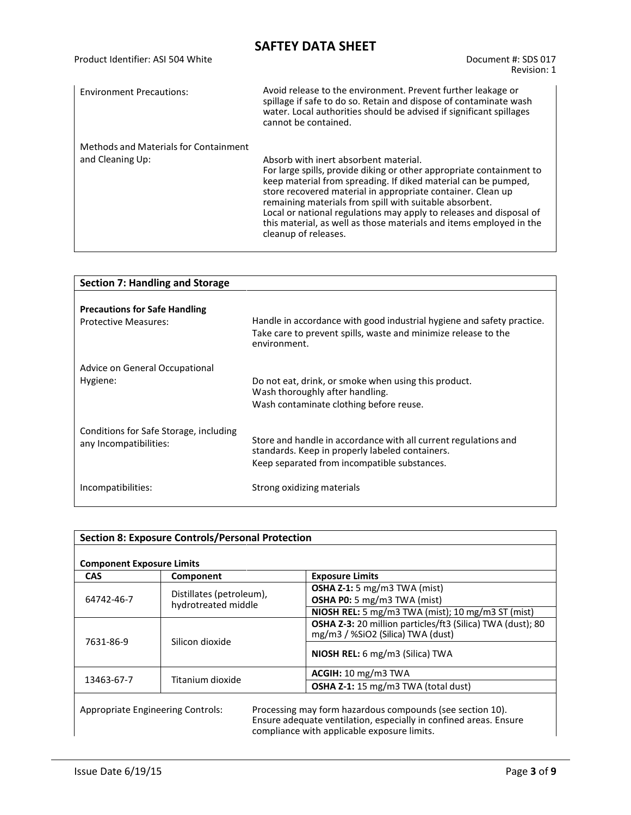| Product Identifier: ASI 504 White     | Document #: SDS 017<br>Revision: 1                                                                                                                                                                                                                                                                                                                                                                                                                                              |
|---------------------------------------|---------------------------------------------------------------------------------------------------------------------------------------------------------------------------------------------------------------------------------------------------------------------------------------------------------------------------------------------------------------------------------------------------------------------------------------------------------------------------------|
| <b>Environment Precautions:</b>       | Avoid release to the environment. Prevent further leakage or<br>spillage if safe to do so. Retain and dispose of contaminate wash<br>water. Local authorities should be advised if significant spillages<br>cannot be contained.                                                                                                                                                                                                                                                |
| Methods and Materials for Containment |                                                                                                                                                                                                                                                                                                                                                                                                                                                                                 |
| and Cleaning Up:                      | Absorb with inert absorbent material.<br>For large spills, provide diking or other appropriate containment to<br>keep material from spreading. If diked material can be pumped,<br>store recovered material in appropriate container. Clean up<br>remaining materials from spill with suitable absorbent.<br>Local or national regulations may apply to releases and disposal of<br>this material, as well as those materials and items employed in the<br>cleanup of releases. |

| <b>Section 7: Handling and Storage</b>                              |                                                                                                                                                                    |  |
|---------------------------------------------------------------------|--------------------------------------------------------------------------------------------------------------------------------------------------------------------|--|
| <b>Precautions for Safe Handling</b><br><b>Protective Measures:</b> | Handle in accordance with good industrial hygiene and safety practice.<br>Take care to prevent spills, waste and minimize release to the<br>environment.           |  |
| Advice on General Occupational<br>Hygiene:                          | Do not eat, drink, or smoke when using this product.<br>Wash thoroughly after handling.<br>Wash contaminate clothing before reuse.                                 |  |
| Conditions for Safe Storage, including<br>any Incompatibilities:    | Store and handle in accordance with all current regulations and<br>standards. Keep in properly labeled containers.<br>Keep separated from incompatible substances. |  |
| Incompatibilities:                                                  | Strong oxidizing materials                                                                                                                                         |  |

| <b>Section 8: Exposure Controls/Personal Protection</b><br><b>Component Exposure Limits</b> |                                                 |                                                                                                                                                                               |
|---------------------------------------------------------------------------------------------|-------------------------------------------------|-------------------------------------------------------------------------------------------------------------------------------------------------------------------------------|
|                                                                                             |                                                 |                                                                                                                                                                               |
| 64742-46-7                                                                                  | Distillates (petroleum),<br>hydrotreated middle | <b>OSHA Z-1:</b> 5 mg/m3 TWA (mist)<br>OSHA P0: 5 mg/m3 TWA (mist)                                                                                                            |
|                                                                                             |                                                 | NIOSH REL: 5 mg/m3 TWA (mist); 10 mg/m3 ST (mist)                                                                                                                             |
| Silicon dioxide<br>7631-86-9                                                                |                                                 | <b>OSHA Z-3:</b> 20 million particles/ft3 (Silica) TWA (dust); 80<br>mg/m3 / %SiO2 (Silica) TWA (dust)                                                                        |
|                                                                                             |                                                 | NIOSH REL: 6 mg/m3 (Silica) TWA                                                                                                                                               |
|                                                                                             |                                                 | ACGIH: 10 mg/m3 TWA                                                                                                                                                           |
| 13463-67-7                                                                                  | Titanium dioxide                                | <b>OSHA Z-1:</b> 15 mg/m3 TWA (total dust)                                                                                                                                    |
|                                                                                             | Appropriate Engineering Controls:               | Processing may form hazardous compounds (see section 10).<br>Ensure adequate ventilation, especially in confined areas. Ensure<br>compliance with applicable exposure limits. |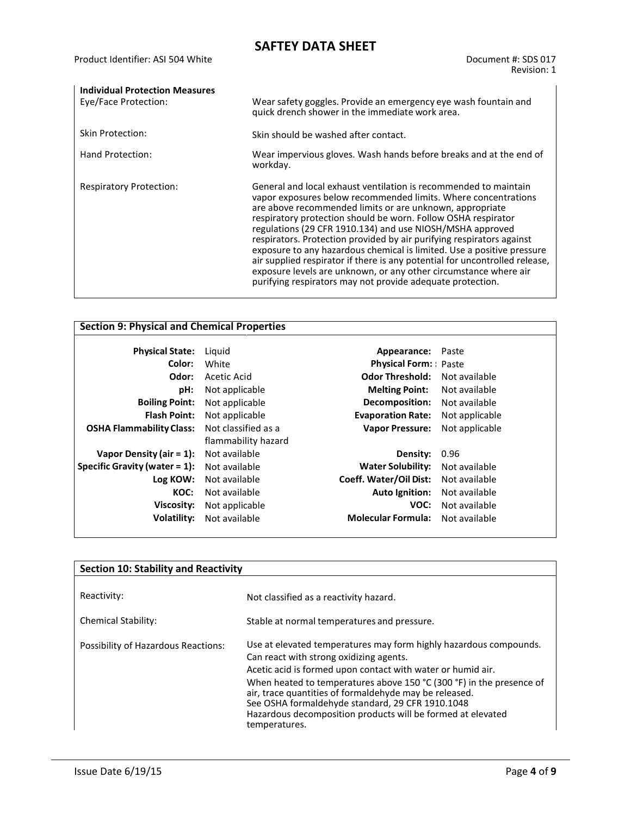| <b>Individual Protection Measures</b> |                                                                                                                                                                                                                                                                                                                                                                                                                                                                                                                                                                                                                                                                                                  |
|---------------------------------------|--------------------------------------------------------------------------------------------------------------------------------------------------------------------------------------------------------------------------------------------------------------------------------------------------------------------------------------------------------------------------------------------------------------------------------------------------------------------------------------------------------------------------------------------------------------------------------------------------------------------------------------------------------------------------------------------------|
| Eye/Face Protection:                  | Wear safety goggles. Provide an emergency eye wash fountain and<br>quick drench shower in the immediate work area.                                                                                                                                                                                                                                                                                                                                                                                                                                                                                                                                                                               |
| <b>Skin Protection:</b>               | Skin should be washed after contact.                                                                                                                                                                                                                                                                                                                                                                                                                                                                                                                                                                                                                                                             |
| Hand Protection:                      | Wear impervious gloves. Wash hands before breaks and at the end of<br>workday.                                                                                                                                                                                                                                                                                                                                                                                                                                                                                                                                                                                                                   |
| <b>Respiratory Protection:</b>        | General and local exhaust ventilation is recommended to maintain<br>vapor exposures below recommended limits. Where concentrations<br>are above recommended limits or are unknown, appropriate<br>respiratory protection should be worn. Follow OSHA respirator<br>regulations (29 CFR 1910.134) and use NIOSH/MSHA approved<br>respirators. Protection provided by air purifying respirators against<br>exposure to any hazardous chemical is limited. Use a positive pressure<br>air supplied respirator if there is any potential for uncontrolled release,<br>exposure levels are unknown, or any other circumstance where air<br>purifying respirators may not provide adequate protection. |

| <b>Section 9: Physical and Chemical Properties</b> |                     |                             |                |
|----------------------------------------------------|---------------------|-----------------------------|----------------|
| <b>Physical State:</b>                             | Liguid              | Appearance:                 | Paste          |
| Color:                                             | White               | <b>Physical Form:</b> Paste |                |
| Odor:                                              | Acetic Acid         | <b>Odor Threshold:</b>      | Not available  |
| pH:                                                | Not applicable      | <b>Melting Point:</b>       | Not available  |
| <b>Boiling Point:</b>                              | Not applicable      | Decomposition:              | Not available  |
| <b>Flash Point:</b>                                | Not applicable      | <b>Evaporation Rate:</b>    | Not applicable |
| <b>OSHA Flammability Class:</b>                    | Not classified as a | <b>Vapor Pressure:</b>      | Not applicable |
|                                                    | flammability hazard |                             |                |
| Vapor Density (air = $1$ ):                        | Not available       | Density:                    | 0.96           |
| Specific Gravity (water $= 1$ ):                   | Not available       | <b>Water Solubility:</b>    | Not available  |
| Log KOW:                                           | Not available       | Coeff. Water/Oil Dist:      | Not available  |
| KOC:                                               | Not available       | <b>Auto Ignition:</b>       | Not available  |
| Viscosity:                                         | Not applicable      | VOC:                        | Not available  |
| Volatility:                                        | Not available       | <b>Molecular Formula:</b>   | Not available  |
|                                                    |                     |                             |                |

| <b>Section 10: Stability and Reactivity</b> |                                                                                                                                                                                                                                                                                                                                                                                                                                                   |  |
|---------------------------------------------|---------------------------------------------------------------------------------------------------------------------------------------------------------------------------------------------------------------------------------------------------------------------------------------------------------------------------------------------------------------------------------------------------------------------------------------------------|--|
| Reactivity:                                 | Not classified as a reactivity hazard.                                                                                                                                                                                                                                                                                                                                                                                                            |  |
| Chemical Stability:                         | Stable at normal temperatures and pressure.                                                                                                                                                                                                                                                                                                                                                                                                       |  |
| Possibility of Hazardous Reactions:         | Use at elevated temperatures may form highly hazardous compounds.<br>Can react with strong oxidizing agents.<br>Acetic acid is formed upon contact with water or humid air.<br>When heated to temperatures above 150 °C (300 °F) in the presence of<br>air, trace quantities of formaldehyde may be released.<br>See OSHA formaldehyde standard, 29 CFR 1910.1048<br>Hazardous decomposition products will be formed at elevated<br>temperatures. |  |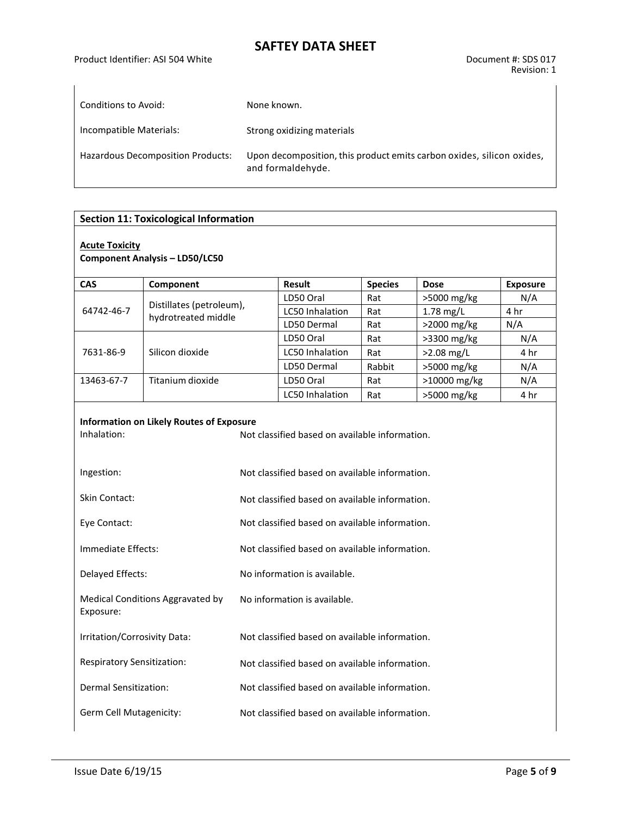| Conditions to Avoid:                     | None known.                                                                                |
|------------------------------------------|--------------------------------------------------------------------------------------------|
|                                          |                                                                                            |
| Incompatible Materials:                  | Strong oxidizing materials                                                                 |
| <b>Hazardous Decomposition Products:</b> | Upon decomposition, this product emits carbon oxides, silicon oxides,<br>and formaldehyde. |

## **Section 11: Toxicological Information**

#### **Acute Toxicity**

**Component Analysis – LD50/LC50**

| <b>CAS</b>                     | Component                                       | <b>Result</b>          | <b>Species</b> | <b>Dose</b>   | <b>Exposure</b> |
|--------------------------------|-------------------------------------------------|------------------------|----------------|---------------|-----------------|
|                                |                                                 | LD50 Oral              | Rat            | $>5000$ mg/kg | N/A             |
| 64742-46-7                     | Distillates (petroleum),<br>hydrotreated middle | <b>LC50 Inhalation</b> | Rat            | $1.78$ mg/L   |                 |
|                                |                                                 | LD50 Dermal            | Rat            | $>2000$ mg/kg | N/A             |
| 7631-86-9                      |                                                 | LD50 Oral              | Rat            | >3300 mg/kg   | N/A             |
|                                | Silicon dioxide                                 | LC50 Inhalation        | Rat            | $>2.08$ mg/L  | 4 hr            |
|                                |                                                 | LD50 Dermal            | Rabbit         | >5000 mg/kg   | N/A             |
| Titanium dioxide<br>13463-67-7 |                                                 | LD50 Oral              | Rat            | >10000 mg/kg  | N/A             |
|                                |                                                 | LC50 Inhalation        | Rat            | >5000 mg/kg   | 4 hr            |

# **Information on Likely Routes of Exposure**

| Inhalation:                                   | Not classified based on available information. |
|-----------------------------------------------|------------------------------------------------|
| Ingestion:                                    | Not classified based on available information. |
| Skin Contact:                                 | Not classified based on available information. |
| Eye Contact:                                  | Not classified based on available information. |
| Immediate Effects:                            | Not classified based on available information. |
| Delayed Effects:                              | No information is available.                   |
| Medical Conditions Aggravated by<br>Exposure: | No information is available.                   |
| Irritation/Corrosivity Data:                  | Not classified based on available information. |
| <b>Respiratory Sensitization:</b>             | Not classified based on available information. |
| Dermal Sensitization:                         | Not classified based on available information. |
| Germ Cell Mutagenicity:                       | Not classified based on available information. |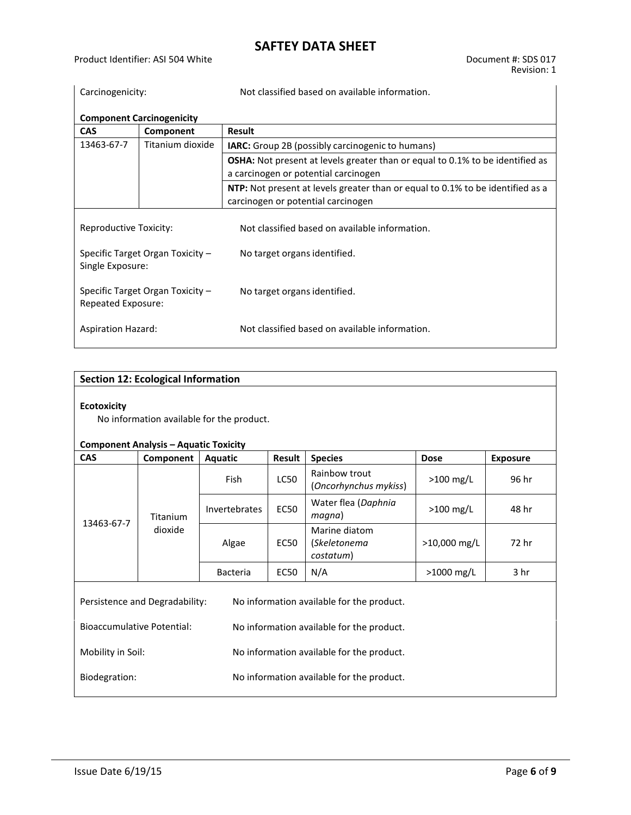Product Identifier: ASI 504 White Document #: SDS 017

| Carcinogenicity:                                       |                                                                                                                             | Not classified based on available information.                                                                               |  |  |  |  |
|--------------------------------------------------------|-----------------------------------------------------------------------------------------------------------------------------|------------------------------------------------------------------------------------------------------------------------------|--|--|--|--|
| <b>Component Carcinogenicity</b>                       |                                                                                                                             |                                                                                                                              |  |  |  |  |
| <b>CAS</b>                                             | Component                                                                                                                   | Result                                                                                                                       |  |  |  |  |
| 13463-67-7                                             | Titanium dioxide                                                                                                            | <b>IARC:</b> Group 2B (possibly carcinogenic to humans)                                                                      |  |  |  |  |
|                                                        |                                                                                                                             | <b>OSHA:</b> Not present at levels greater than or equal to 0.1% to be identified as<br>a carcinogen or potential carcinogen |  |  |  |  |
|                                                        | <b>NTP:</b> Not present at levels greater than or equal to 0.1% to be identified as a<br>carcinogen or potential carcinogen |                                                                                                                              |  |  |  |  |
| Reproductive Toxicity:                                 |                                                                                                                             | Not classified based on available information.                                                                               |  |  |  |  |
| Specific Target Organ Toxicity -<br>Single Exposure:   |                                                                                                                             | No target organs identified.                                                                                                 |  |  |  |  |
| Specific Target Organ Toxicity -<br>Repeated Exposure: |                                                                                                                             | No target organs identified.                                                                                                 |  |  |  |  |
| <b>Aspiration Hazard:</b>                              |                                                                                                                             | Not classified based on available information.                                                                               |  |  |  |  |

## **Section 12: Ecological Information**

## **Ecotoxicity**

No information available for the product.

### **Component Analysis – Aquatic Toxicity**

| <b>CAS</b>                                                                  | Component                  | <b>Aquatic</b>                                                       | Result      | <b>Species</b>                             | <b>Dose</b>    | <b>Exposure</b> |  |
|-----------------------------------------------------------------------------|----------------------------|----------------------------------------------------------------------|-------------|--------------------------------------------|----------------|-----------------|--|
| 13463-67-7                                                                  | <b>Titanium</b><br>dioxide | Rainbow trout<br><b>LC50</b><br><b>Fish</b><br>(Oncorhynchus mykiss) |             | $>100$ mg/L                                | 96 hr          |                 |  |
|                                                                             |                            | <b>Invertebrates</b>                                                 | <b>EC50</b> | Water flea (Daphnia<br>magna)              | $>100$ mg/L    | 48 hr           |  |
|                                                                             |                            | Algae<br>EC50                                                        |             | Marine diatom<br>(Skeletonema<br>costatum) | $>10,000$ mg/L | 72 hr           |  |
|                                                                             |                            | <b>Bacteria</b>                                                      | <b>EC50</b> | N/A                                        | $>1000$ mg/L   | 3 hr            |  |
| Persistence and Degradability:<br>No information available for the product. |                            |                                                                      |             |                                            |                |                 |  |
| Bioaccumulative Potential:<br>No information available for the product.     |                            |                                                                      |             |                                            |                |                 |  |
| Mobility in Soil:                                                           |                            |                                                                      |             | No information available for the product.  |                |                 |  |
| Biodegration:                                                               |                            |                                                                      |             | No information available for the product.  |                |                 |  |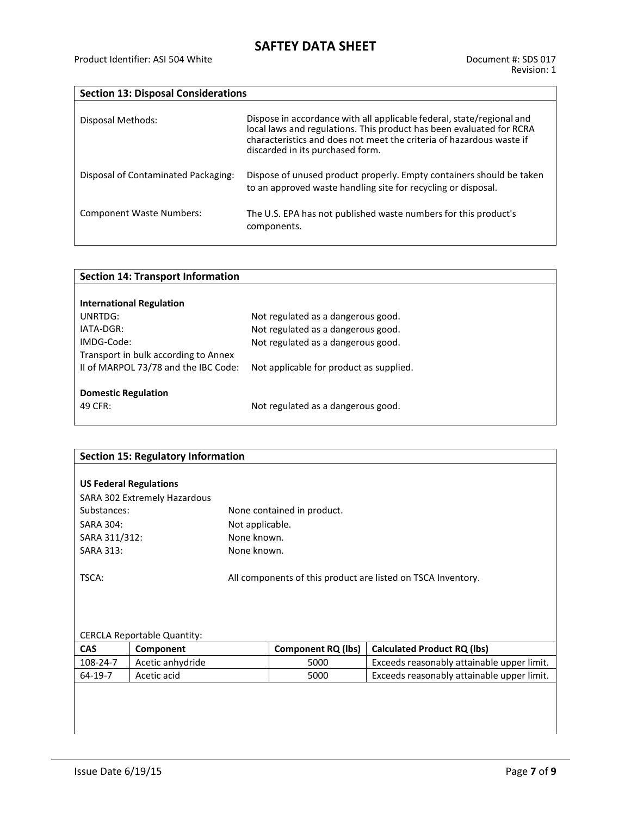| <b>Section 13: Disposal Considerations</b> |                                                                                                                                                                                                                                                           |
|--------------------------------------------|-----------------------------------------------------------------------------------------------------------------------------------------------------------------------------------------------------------------------------------------------------------|
| Disposal Methods:                          | Dispose in accordance with all applicable federal, state/regional and<br>local laws and regulations. This product has been evaluated for RCRA<br>characteristics and does not meet the criteria of hazardous waste if<br>discarded in its purchased form. |
| Disposal of Contaminated Packaging:        | Dispose of unused product properly. Empty containers should be taken<br>to an approved waste handling site for recycling or disposal.                                                                                                                     |
| <b>Component Waste Numbers:</b>            | The U.S. EPA has not published waste numbers for this product's<br>components.                                                                                                                                                                            |

| <b>Section 14: Transport Information</b> |                                         |
|------------------------------------------|-----------------------------------------|
|                                          |                                         |
| <b>International Regulation</b>          |                                         |
| UNRTDG:                                  | Not regulated as a dangerous good.      |
| IATA-DGR:                                | Not regulated as a dangerous good.      |
| IMDG-Code:                               | Not regulated as a dangerous good.      |
| Transport in bulk according to Annex     |                                         |
| II of MARPOL 73/78 and the IBC Code:     | Not applicable for product as supplied. |
|                                          |                                         |
| <b>Domestic Regulation</b>               |                                         |
| 49 CFR:                                  | Not regulated as a dangerous good.      |

| <b>Section 15: Regulatory Information</b> |                                                                                                    |                 |                            |                                            |  |  |  |
|-------------------------------------------|----------------------------------------------------------------------------------------------------|-----------------|----------------------------|--------------------------------------------|--|--|--|
|                                           | <b>US Federal Regulations</b>                                                                      |                 |                            |                                            |  |  |  |
|                                           | SARA 302 Extremely Hazardous                                                                       |                 |                            |                                            |  |  |  |
| Substances:                               |                                                                                                    |                 | None contained in product. |                                            |  |  |  |
| <b>SARA 304:</b>                          |                                                                                                    | Not applicable. |                            |                                            |  |  |  |
| SARA 311/312:                             |                                                                                                    | None known.     |                            |                                            |  |  |  |
| <b>SARA 313:</b>                          |                                                                                                    | None known.     |                            |                                            |  |  |  |
| TSCA:                                     | All components of this product are listed on TSCA Inventory.<br><b>CERCLA Reportable Quantity:</b> |                 |                            |                                            |  |  |  |
| <b>CAS</b>                                | Component                                                                                          |                 | <b>Component RQ (lbs)</b>  | <b>Calculated Product RQ (lbs)</b>         |  |  |  |
| 108-24-7                                  | Acetic anhydride                                                                                   |                 | 5000                       | Exceeds reasonably attainable upper limit. |  |  |  |
| 64-19-7                                   | Acetic acid                                                                                        |                 | 5000                       | Exceeds reasonably attainable upper limit. |  |  |  |
|                                           |                                                                                                    |                 |                            |                                            |  |  |  |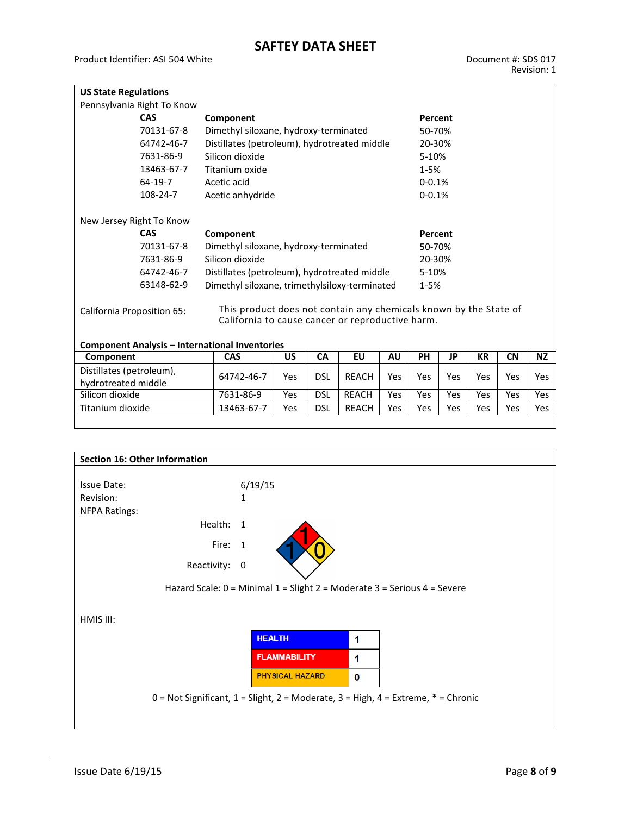| <b>US State Regulations</b> |                                                                                                                       |            |
|-----------------------------|-----------------------------------------------------------------------------------------------------------------------|------------|
| Pennsylvania Right To Know  |                                                                                                                       |            |
| <b>CAS</b>                  | Component                                                                                                             | Percent    |
| 70131-67-8                  | Dimethyl siloxane, hydroxy-terminated                                                                                 | 50-70%     |
| 64742-46-7                  | Distillates (petroleum), hydrotreated middle                                                                          | 20-30%     |
| 7631-86-9                   | Silicon dioxide                                                                                                       | 5-10%      |
| 13463-67-7                  | Titanium oxide                                                                                                        | $1 - 5%$   |
| 64-19-7                     | Acetic acid                                                                                                           | $0 - 0.1%$ |
| 108-24-7                    | Acetic anhydride                                                                                                      | $0 - 0.1%$ |
| New Jersey Right To Know    |                                                                                                                       |            |
| <b>CAS</b>                  | Component                                                                                                             | Percent    |
| 70131-67-8                  | Dimethyl siloxane, hydroxy-terminated                                                                                 | 50-70%     |
| 7631-86-9                   | Silicon dioxide                                                                                                       | 20-30%     |
| 64742-46-7                  | Distillates (petroleum), hydrotreated middle                                                                          | 5-10%      |
| 63148-62-9                  | Dimethyl siloxane, trimethylsiloxy-terminated                                                                         | $1 - 5%$   |
| California Proposition 65:  | This product does not contain any chemicals known by the State of<br>California to cause cancer or reproductive harm. |            |

| <b>Component Analysis - International Inventories</b> |            |     |     |              |     |     |     |     |     |           |
|-------------------------------------------------------|------------|-----|-----|--------------|-----|-----|-----|-----|-----|-----------|
| Component                                             | <b>CAS</b> | บร  | CА  | EU           | AU  | PН  | JP  | КR  | CΝ  | <b>NZ</b> |
| Distillates (petroleum),<br>hydrotreated middle       | 64742-46-7 | Yes | DSL | <b>REACH</b> | Yes | Yes | Yes | Yes | Yes | Yes       |
| Silicon dioxide                                       | 7631-86-9  | Yes | dsl | <b>RFACH</b> | Yes | Yes | Yes | Yes | Yes | Yes       |
| Titanium dioxide                                      | 13463-67-7 | Yes | dsl | <b>REACH</b> | Yes | Yes | Yes | Yes | Yes | Yes       |
|                                                       |            |     |     |              |     |     |     |     |     |           |